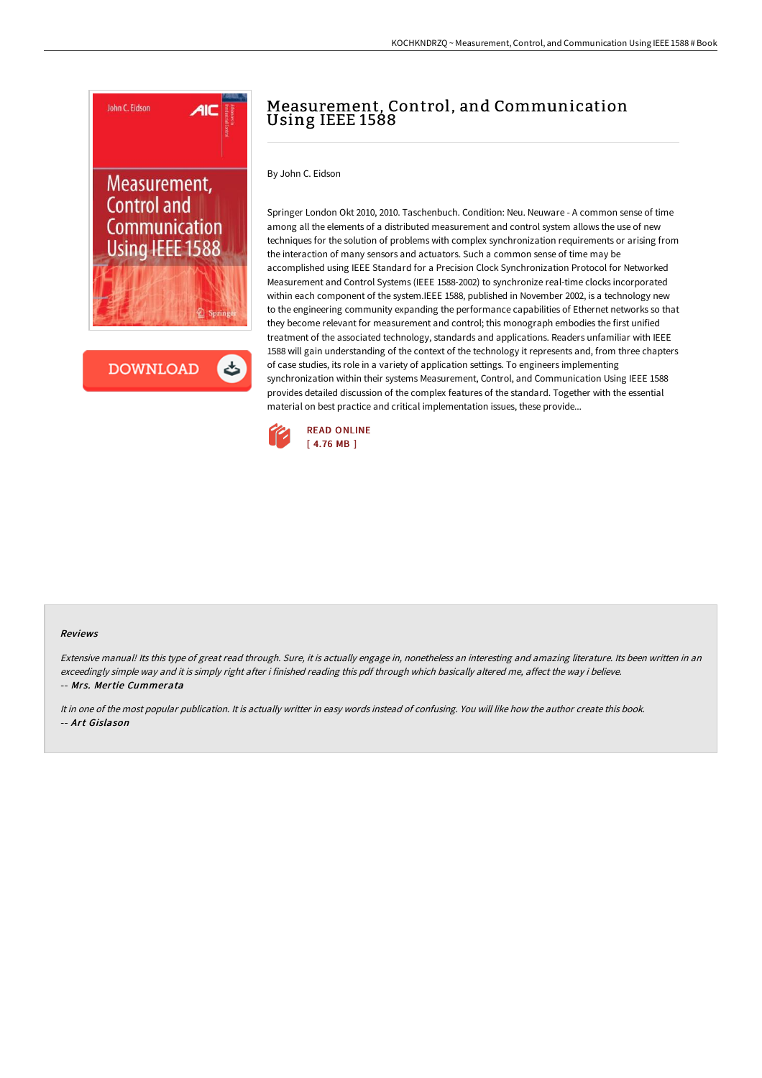

# Measurement, Control, and Communication Using IEEE 1588

By John C. Eidson

Springer London Okt 2010, 2010. Taschenbuch. Condition: Neu. Neuware - A common sense of time among all the elements of a distributed measurement and control system allows the use of new techniques for the solution of problems with complex synchronization requirements or arising from the interaction of many sensors and actuators. Such a common sense of time may be accomplished using IEEE Standard for a Precision Clock Synchronization Protocol for Networked Measurement and Control Systems (IEEE 1588-2002) to synchronize real-time clocks incorporated within each component of the system.IEEE 1588, published in November 2002, is a technology new to the engineering community expanding the performance capabilities of Ethernet networks so that they become relevant for measurement and control; this monograph embodies the first unified treatment of the associated technology, standards and applications. Readers unfamiliar with IEEE 1588 will gain understanding of the context of the technology it represents and, from three chapters of case studies, its role in a variety of application settings. To engineers implementing synchronization within their systems Measurement, Control, and Communication Using IEEE 1588 provides detailed discussion of the complex features of the standard. Together with the essential material on best practice and critical implementation issues, these provide...



### Reviews

Extensive manual! Its this type of great read through. Sure, it is actually engage in, nonetheless an interesting and amazing literature. Its been written in an exceedingly simple way and it is simply right after i finished reading this pdf through which basically altered me, affect the way i believe. -- Mrs. Mertie Cummerata

It in one of the most popular publication. It is actually writter in easy words instead of confusing. You will like how the author create this book. -- Art Gislason